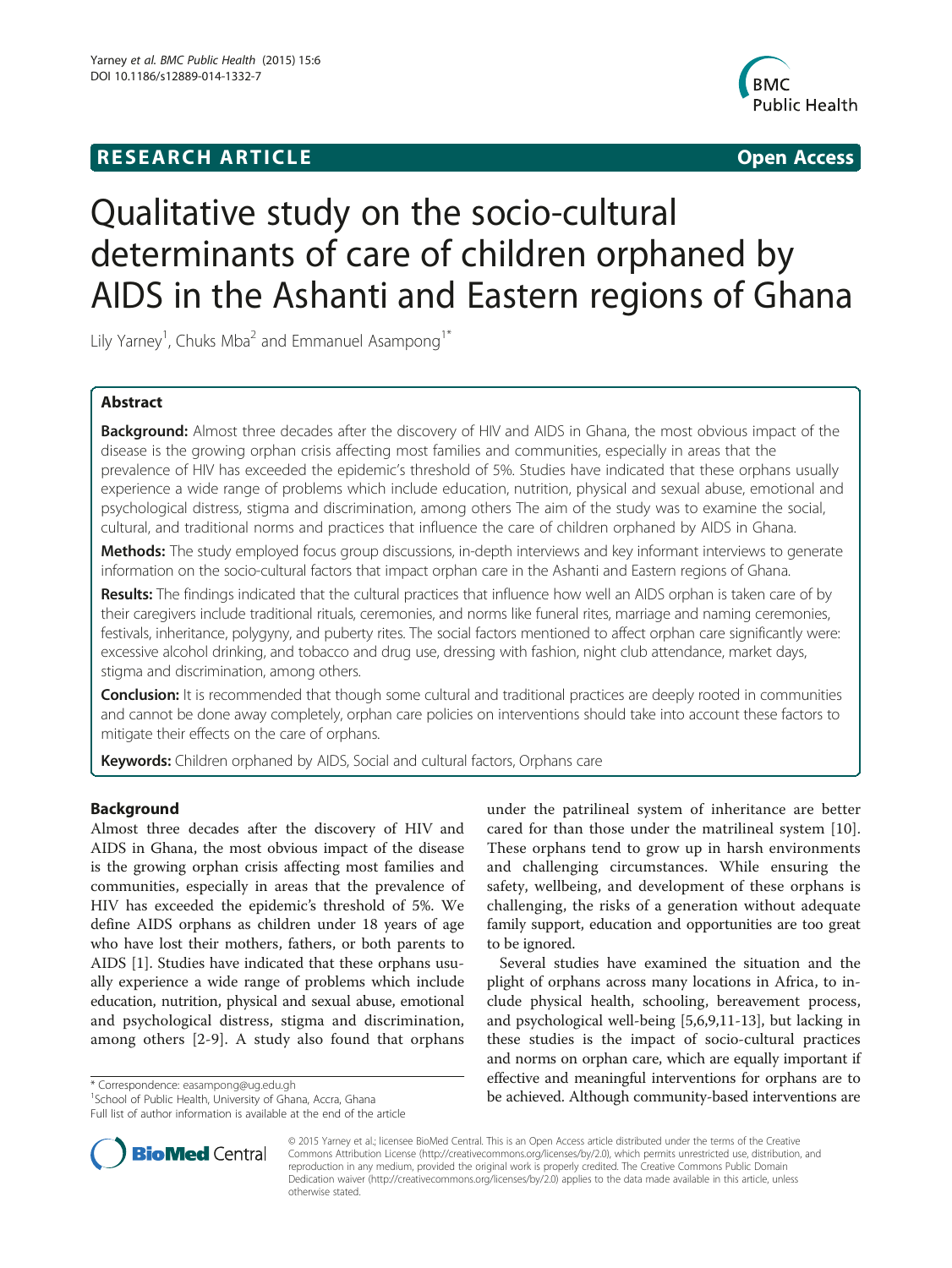# **RESEARCH ARTICLE Example 2014 CONSIDERING CONSIDERING CONSIDERING CONSIDERING CONSIDERING CONSIDERING CONSIDERING CONSIDERING CONSIDERING CONSIDERING CONSIDERING CONSIDERING CONSIDERING CONSIDERING CONSIDERING CONSIDE**



# Qualitative study on the socio-cultural determinants of care of children orphaned by AIDS in the Ashanti and Eastern regions of Ghana

Lily Yarney<sup>1</sup>, Chuks Mba<sup>2</sup> and Emmanuel Asampong<sup>1\*</sup>

# Abstract

Background: Almost three decades after the discovery of HIV and AIDS in Ghana, the most obvious impact of the disease is the growing orphan crisis affecting most families and communities, especially in areas that the prevalence of HIV has exceeded the epidemic's threshold of 5%. Studies have indicated that these orphans usually experience a wide range of problems which include education, nutrition, physical and sexual abuse, emotional and psychological distress, stigma and discrimination, among others The aim of the study was to examine the social, cultural, and traditional norms and practices that influence the care of children orphaned by AIDS in Ghana.

Methods: The study employed focus group discussions, in-depth interviews and key informant interviews to generate information on the socio-cultural factors that impact orphan care in the Ashanti and Eastern regions of Ghana.

Results: The findings indicated that the cultural practices that influence how well an AIDS orphan is taken care of by their caregivers include traditional rituals, ceremonies, and norms like funeral rites, marriage and naming ceremonies, festivals, inheritance, polygyny, and puberty rites. The social factors mentioned to affect orphan care significantly were: excessive alcohol drinking, and tobacco and drug use, dressing with fashion, night club attendance, market days, stigma and discrimination, among others.

**Conclusion:** It is recommended that though some cultural and traditional practices are deeply rooted in communities and cannot be done away completely, orphan care policies on interventions should take into account these factors to mitigate their effects on the care of orphans.

Keywords: Children orphaned by AIDS, Social and cultural factors, Orphans care

# Background

Almost three decades after the discovery of HIV and AIDS in Ghana, the most obvious impact of the disease is the growing orphan crisis affecting most families and communities, especially in areas that the prevalence of HIV has exceeded the epidemic's threshold of 5%. We define AIDS orphans as children under 18 years of age who have lost their mothers, fathers, or both parents to AIDS [\[1](#page-12-0)]. Studies have indicated that these orphans usually experience a wide range of problems which include education, nutrition, physical and sexual abuse, emotional and psychological distress, stigma and discrimination, among others [[2-9](#page-12-0)]. A study also found that orphans

<sup>1</sup>School of Public Health, University of Ghana, Accra, Ghana

Full list of author information is available at the end of the article

under the patrilineal system of inheritance are better cared for than those under the matrilineal system [[10](#page-12-0)]. These orphans tend to grow up in harsh environments and challenging circumstances. While ensuring the safety, wellbeing, and development of these orphans is challenging, the risks of a generation without adequate family support, education and opportunities are too great to be ignored.

Several studies have examined the situation and the plight of orphans across many locations in Africa, to include physical health, schooling, bereavement process, and psychological well-being [[5,6,9,11-13](#page-12-0)], but lacking in these studies is the impact of socio-cultural practices and norms on orphan care, which are equally important if effective and meaningful interventions for orphans are to tificative and internative interventions for orphans are to<br>Ischool of Public Health, University of Ghana, Accra, Ghana<br>**be achieved. Although community-based interventions are** 



© 2015 Yarney et al.; licensee BioMed Central. This is an Open Access article distributed under the terms of the Creative Commons Attribution License [\(http://creativecommons.org/licenses/by/2.0\)](http://creativecommons.org/licenses/by/2.0), which permits unrestricted use, distribution, and reproduction in any medium, provided the original work is properly credited. The Creative Commons Public Domain Dedication waiver [\(http://creativecommons.org/licenses/by/2.0\)](http://creativecommons.org/publicdomain/zero/1.0/) applies to the data made available in this article, unless otherwise stated.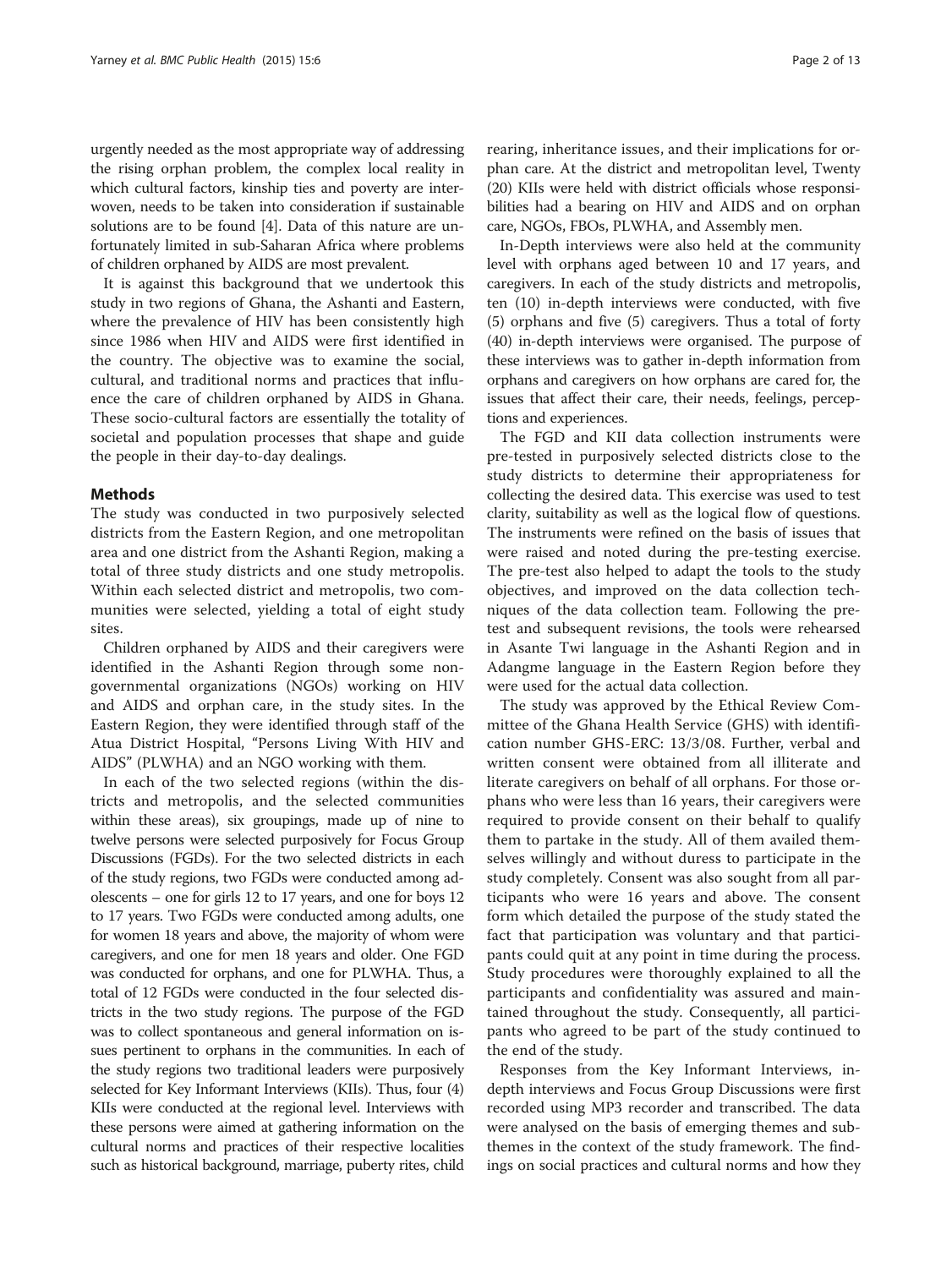urgently needed as the most appropriate way of addressing the rising orphan problem, the complex local reality in which cultural factors, kinship ties and poverty are interwoven, needs to be taken into consideration if sustainable solutions are to be found [\[4](#page-12-0)]. Data of this nature are unfortunately limited in sub-Saharan Africa where problems of children orphaned by AIDS are most prevalent.

It is against this background that we undertook this study in two regions of Ghana, the Ashanti and Eastern, where the prevalence of HIV has been consistently high since 1986 when HIV and AIDS were first identified in the country. The objective was to examine the social, cultural, and traditional norms and practices that influence the care of children orphaned by AIDS in Ghana. These socio-cultural factors are essentially the totality of societal and population processes that shape and guide the people in their day-to-day dealings.

#### Methods

The study was conducted in two purposively selected districts from the Eastern Region, and one metropolitan area and one district from the Ashanti Region, making a total of three study districts and one study metropolis. Within each selected district and metropolis, two communities were selected, yielding a total of eight study sites.

Children orphaned by AIDS and their caregivers were identified in the Ashanti Region through some nongovernmental organizations (NGOs) working on HIV and AIDS and orphan care, in the study sites. In the Eastern Region, they were identified through staff of the Atua District Hospital, "Persons Living With HIV and AIDS" (PLWHA) and an NGO working with them.

In each of the two selected regions (within the districts and metropolis, and the selected communities within these areas), six groupings, made up of nine to twelve persons were selected purposively for Focus Group Discussions (FGDs). For the two selected districts in each of the study regions, two FGDs were conducted among adolescents – one for girls 12 to 17 years, and one for boys 12 to 17 years. Two FGDs were conducted among adults, one for women 18 years and above, the majority of whom were caregivers, and one for men 18 years and older. One FGD was conducted for orphans, and one for PLWHA. Thus, a total of 12 FGDs were conducted in the four selected districts in the two study regions. The purpose of the FGD was to collect spontaneous and general information on issues pertinent to orphans in the communities. In each of the study regions two traditional leaders were purposively selected for Key Informant Interviews (KIIs). Thus, four (4) KIIs were conducted at the regional level. Interviews with these persons were aimed at gathering information on the cultural norms and practices of their respective localities such as historical background, marriage, puberty rites, child rearing, inheritance issues, and their implications for orphan care. At the district and metropolitan level, Twenty (20) KIIs were held with district officials whose responsibilities had a bearing on HIV and AIDS and on orphan care, NGOs, FBOs, PLWHA, and Assembly men.

In-Depth interviews were also held at the community level with orphans aged between 10 and 17 years, and caregivers. In each of the study districts and metropolis, ten (10) in-depth interviews were conducted, with five (5) orphans and five (5) caregivers. Thus a total of forty (40) in-depth interviews were organised. The purpose of these interviews was to gather in-depth information from orphans and caregivers on how orphans are cared for, the issues that affect their care, their needs, feelings, perceptions and experiences.

The FGD and KII data collection instruments were pre-tested in purposively selected districts close to the study districts to determine their appropriateness for collecting the desired data. This exercise was used to test clarity, suitability as well as the logical flow of questions. The instruments were refined on the basis of issues that were raised and noted during the pre-testing exercise. The pre-test also helped to adapt the tools to the study objectives, and improved on the data collection techniques of the data collection team. Following the pretest and subsequent revisions, the tools were rehearsed in Asante Twi language in the Ashanti Region and in Adangme language in the Eastern Region before they were used for the actual data collection.

The study was approved by the Ethical Review Committee of the Ghana Health Service (GHS) with identification number GHS-ERC: 13/3/08. Further, verbal and written consent were obtained from all illiterate and literate caregivers on behalf of all orphans. For those orphans who were less than 16 years, their caregivers were required to provide consent on their behalf to qualify them to partake in the study. All of them availed themselves willingly and without duress to participate in the study completely. Consent was also sought from all participants who were 16 years and above. The consent form which detailed the purpose of the study stated the fact that participation was voluntary and that participants could quit at any point in time during the process. Study procedures were thoroughly explained to all the participants and confidentiality was assured and maintained throughout the study. Consequently, all participants who agreed to be part of the study continued to the end of the study.

Responses from the Key Informant Interviews, indepth interviews and Focus Group Discussions were first recorded using MP3 recorder and transcribed. The data were analysed on the basis of emerging themes and subthemes in the context of the study framework. The findings on social practices and cultural norms and how they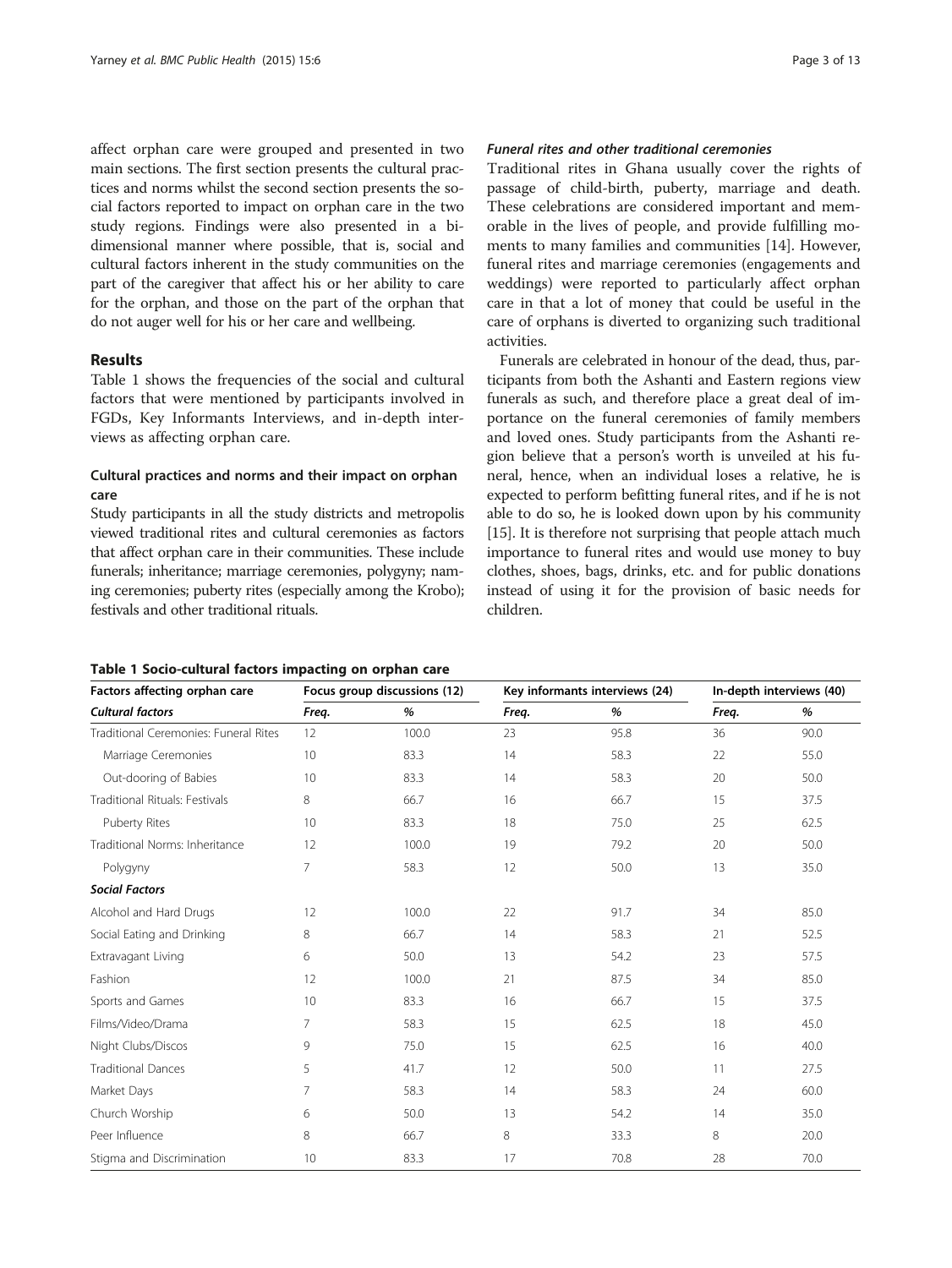affect orphan care were grouped and presented in two main sections. The first section presents the cultural practices and norms whilst the second section presents the social factors reported to impact on orphan care in the two study regions. Findings were also presented in a bidimensional manner where possible, that is, social and cultural factors inherent in the study communities on the part of the caregiver that affect his or her ability to care for the orphan, and those on the part of the orphan that do not auger well for his or her care and wellbeing.

#### Results

Table 1 shows the frequencies of the social and cultural factors that were mentioned by participants involved in FGDs, Key Informants Interviews, and in-depth interviews as affecting orphan care.

#### Cultural practices and norms and their impact on orphan care

Study participants in all the study districts and metropolis viewed traditional rites and cultural ceremonies as factors that affect orphan care in their communities. These include funerals; inheritance; marriage ceremonies, polygyny; naming ceremonies; puberty rites (especially among the Krobo); festivals and other traditional rituals.

#### Table 1 Socio-cultural factors impacting on orphan care

#### Funeral rites and other traditional ceremonies

Traditional rites in Ghana usually cover the rights of passage of child-birth, puberty, marriage and death. These celebrations are considered important and memorable in the lives of people, and provide fulfilling moments to many families and communities [\[14](#page-12-0)]. However, funeral rites and marriage ceremonies (engagements and weddings) were reported to particularly affect orphan care in that a lot of money that could be useful in the care of orphans is diverted to organizing such traditional activities.

Funerals are celebrated in honour of the dead, thus, participants from both the Ashanti and Eastern regions view funerals as such, and therefore place a great deal of importance on the funeral ceremonies of family members and loved ones. Study participants from the Ashanti region believe that a person's worth is unveiled at his funeral, hence, when an individual loses a relative, he is expected to perform befitting funeral rites, and if he is not able to do so, he is looked down upon by his community [[15](#page-12-0)]. It is therefore not surprising that people attach much importance to funeral rites and would use money to buy clothes, shoes, bags, drinks, etc. and for public donations instead of using it for the provision of basic needs for children.

| Factors affecting orphan care         | Focus group discussions (12) |       | Key informants interviews (24) |      | In-depth interviews (40) |      |
|---------------------------------------|------------------------------|-------|--------------------------------|------|--------------------------|------|
| <b>Cultural factors</b>               | Freq.                        | %     | Freq.                          | %    | Freq.                    | $\%$ |
| Traditional Ceremonies: Funeral Rites | 12                           | 100.0 | 23                             | 95.8 | 36                       | 90.0 |
| Marriage Ceremonies                   | 10                           | 83.3  | 14                             | 58.3 | 22                       | 55.0 |
| Out-dooring of Babies                 | 10                           | 83.3  | 14                             | 58.3 | 20                       | 50.0 |
| Traditional Rituals: Festivals        | 8                            | 66.7  | 16                             | 66.7 | 15                       | 37.5 |
| <b>Puberty Rites</b>                  | 10                           | 83.3  | 18                             | 75.0 | 25                       | 62.5 |
| Traditional Norms: Inheritance        | 12                           | 100.0 | 19                             | 79.2 | 20                       | 50.0 |
| Polygyny                              | $\overline{7}$               | 58.3  | 12                             | 50.0 | 13                       | 35.0 |
| <b>Social Factors</b>                 |                              |       |                                |      |                          |      |
| Alcohol and Hard Drugs                | 12                           | 100.0 | 22                             | 91.7 | 34                       | 85.0 |
| Social Eating and Drinking            | 8                            | 66.7  | 14                             | 58.3 | 21                       | 52.5 |
| Extravagant Living                    | 6                            | 50.0  | 13                             | 54.2 | 23                       | 57.5 |
| Fashion                               | 12                           | 100.0 | 21                             | 87.5 | 34                       | 85.0 |
| Sports and Games                      | 10                           | 83.3  | 16                             | 66.7 | 15                       | 37.5 |
| Films/Video/Drama                     | $\overline{7}$               | 58.3  | 15                             | 62.5 | 18                       | 45.0 |
| Night Clubs/Discos                    | 9                            | 75.0  | 15                             | 62.5 | 16                       | 40.0 |
| <b>Traditional Dances</b>             | 5                            | 41.7  | 12                             | 50.0 | 11                       | 27.5 |
| Market Days                           | 7                            | 58.3  | 14                             | 58.3 | 24                       | 60.0 |
| Church Worship                        | 6                            | 50.0  | 13                             | 54.2 | 14                       | 35.0 |
| Peer Influence                        | 8                            | 66.7  | 8                              | 33.3 | 8                        | 20.0 |
| Stigma and Discrimination             | 10                           | 83.3  | 17                             | 70.8 | 28                       | 70.0 |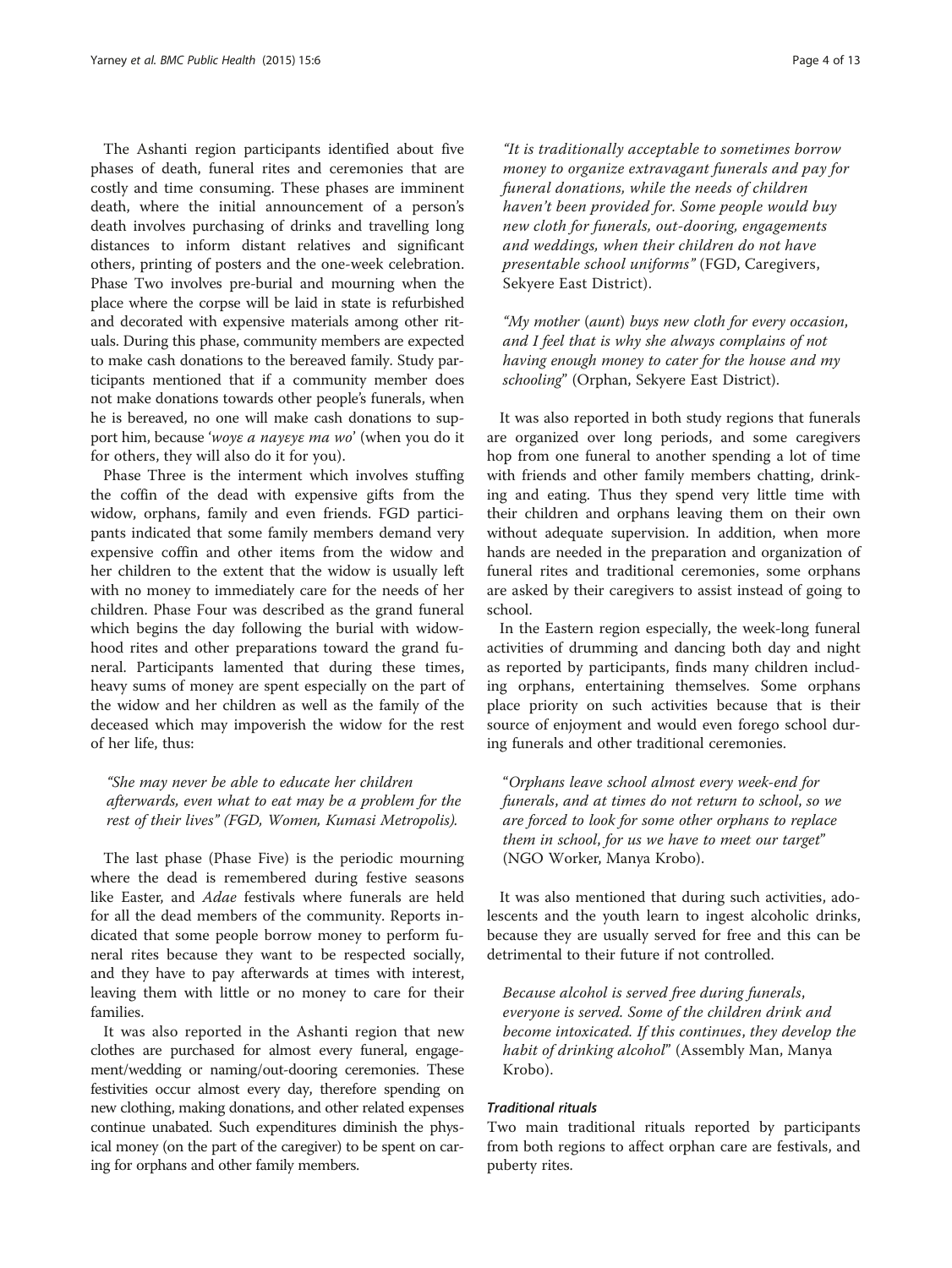The Ashanti region participants identified about five phases of death, funeral rites and ceremonies that are costly and time consuming. These phases are imminent death, where the initial announcement of a person's death involves purchasing of drinks and travelling long distances to inform distant relatives and significant others, printing of posters and the one-week celebration. Phase Two involves pre-burial and mourning when the place where the corpse will be laid in state is refurbished and decorated with expensive materials among other rituals. During this phase, community members are expected to make cash donations to the bereaved family. Study participants mentioned that if a community member does not make donations towards other people's funerals, when he is bereaved, no one will make cash donations to support him, because 'woyε a nayεyε ma wo' (when you do it for others, they will also do it for you).

Phase Three is the interment which involves stuffing the coffin of the dead with expensive gifts from the widow, orphans, family and even friends. FGD participants indicated that some family members demand very expensive coffin and other items from the widow and her children to the extent that the widow is usually left with no money to immediately care for the needs of her children. Phase Four was described as the grand funeral which begins the day following the burial with widowhood rites and other preparations toward the grand funeral. Participants lamented that during these times, heavy sums of money are spent especially on the part of the widow and her children as well as the family of the deceased which may impoverish the widow for the rest of her life, thus:

"She may never be able to educate her children afterwards, even what to eat may be a problem for the rest of their lives" (FGD, Women, Kumasi Metropolis).

The last phase (Phase Five) is the periodic mourning where the dead is remembered during festive seasons like Easter, and Adae festivals where funerals are held for all the dead members of the community. Reports indicated that some people borrow money to perform funeral rites because they want to be respected socially, and they have to pay afterwards at times with interest, leaving them with little or no money to care for their families.

It was also reported in the Ashanti region that new clothes are purchased for almost every funeral, engagement/wedding or naming/out-dooring ceremonies. These festivities occur almost every day, therefore spending on new clothing, making donations, and other related expenses continue unabated. Such expenditures diminish the physical money (on the part of the caregiver) to be spent on caring for orphans and other family members.

"It is traditionally acceptable to sometimes borrow money to organize extravagant funerals and pay for funeral donations, while the needs of children haven't been provided for. Some people would buy new cloth for funerals, out-dooring, engagements and weddings, when their children do not have presentable school uniforms" (FGD, Caregivers, Sekyere East District).

"My mother (aunt) buys new cloth for every occasion, and I feel that is why she always complains of not having enough money to cater for the house and my schooling" (Orphan, Sekyere East District).

It was also reported in both study regions that funerals are organized over long periods, and some caregivers hop from one funeral to another spending a lot of time with friends and other family members chatting, drinking and eating. Thus they spend very little time with their children and orphans leaving them on their own without adequate supervision. In addition, when more hands are needed in the preparation and organization of funeral rites and traditional ceremonies, some orphans are asked by their caregivers to assist instead of going to school.

In the Eastern region especially, the week-long funeral activities of drumming and dancing both day and night as reported by participants, finds many children including orphans, entertaining themselves. Some orphans place priority on such activities because that is their source of enjoyment and would even forego school during funerals and other traditional ceremonies.

"Orphans leave school almost every week-end for funerals, and at times do not return to school, so we are forced to look for some other orphans to replace them in school, for us we have to meet our target" (NGO Worker, Manya Krobo).

It was also mentioned that during such activities, adolescents and the youth learn to ingest alcoholic drinks, because they are usually served for free and this can be detrimental to their future if not controlled.

Because alcohol is served free during funerals, everyone is served. Some of the children drink and become intoxicated. If this continues, they develop the habit of drinking alcohol" (Assembly Man, Manya Krobo).

## Traditional rituals

Two main traditional rituals reported by participants from both regions to affect orphan care are festivals, and puberty rites.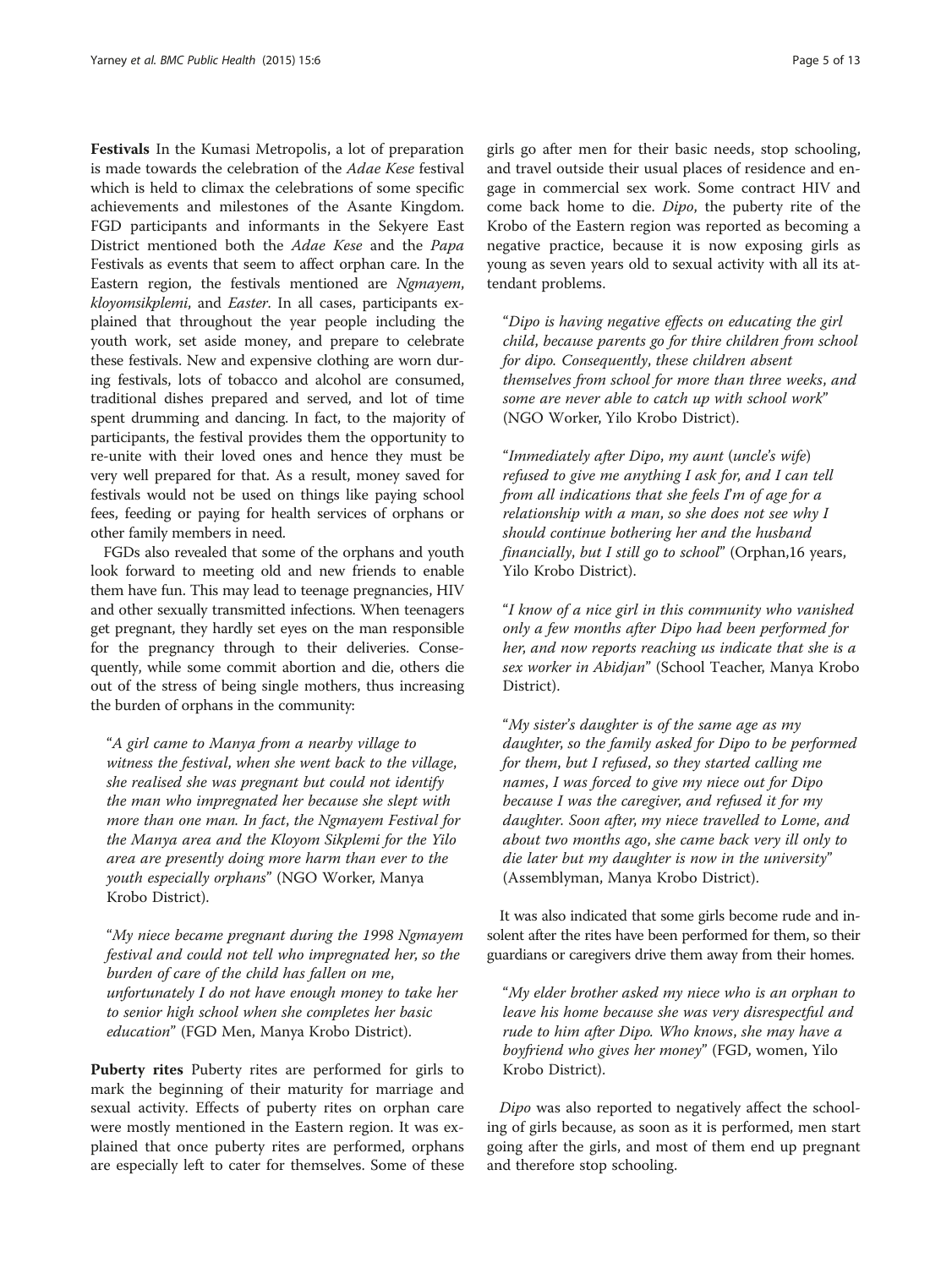Festivals In the Kumasi Metropolis, a lot of preparation is made towards the celebration of the Adae Kese festival which is held to climax the celebrations of some specific achievements and milestones of the Asante Kingdom. FGD participants and informants in the Sekyere East District mentioned both the Adae Kese and the Papa Festivals as events that seem to affect orphan care. In the Eastern region, the festivals mentioned are Ngmayem, kloyomsikplemi, and Easter. In all cases, participants explained that throughout the year people including the youth work, set aside money, and prepare to celebrate these festivals. New and expensive clothing are worn during festivals, lots of tobacco and alcohol are consumed, traditional dishes prepared and served, and lot of time spent drumming and dancing. In fact, to the majority of participants, the festival provides them the opportunity to re-unite with their loved ones and hence they must be very well prepared for that. As a result, money saved for festivals would not be used on things like paying school fees, feeding or paying for health services of orphans or other family members in need.

FGDs also revealed that some of the orphans and youth look forward to meeting old and new friends to enable them have fun. This may lead to teenage pregnancies, HIV and other sexually transmitted infections. When teenagers get pregnant, they hardly set eyes on the man responsible for the pregnancy through to their deliveries. Consequently, while some commit abortion and die, others die out of the stress of being single mothers, thus increasing the burden of orphans in the community:

"A girl came to Manya from a nearby village to witness the festival, when she went back to the village, she realised she was pregnant but could not identify the man who impregnated her because she slept with more than one man. In fact, the Ngmayem Festival for the Manya area and the Kloyom Sikplemi for the Yilo area are presently doing more harm than ever to the youth especially orphans" (NGO Worker, Manya Krobo District).

"My niece became pregnant during the 1998 Ngmayem festival and could not tell who impregnated her, so the burden of care of the child has fallen on me, unfortunately I do not have enough money to take her to senior high school when she completes her basic education" (FGD Men, Manya Krobo District).

Puberty rites Puberty rites are performed for girls to mark the beginning of their maturity for marriage and sexual activity. Effects of puberty rites on orphan care were mostly mentioned in the Eastern region. It was explained that once puberty rites are performed, orphans are especially left to cater for themselves. Some of these girls go after men for their basic needs, stop schooling, and travel outside their usual places of residence and engage in commercial sex work. Some contract HIV and come back home to die. Dipo, the puberty rite of the Krobo of the Eastern region was reported as becoming a negative practice, because it is now exposing girls as young as seven years old to sexual activity with all its attendant problems.

"Dipo is having negative effects on educating the girl child, because parents go for thire children from school for dipo. Consequently, these children absent themselves from school for more than three weeks, and some are never able to catch up with school work" (NGO Worker, Yilo Krobo District).

"Immediately after Dipo, my aunt (uncle's wife) refused to give me anything I ask for, and I can tell from all indications that she feels I'm of age for a relationship with a man, so she does not see why I should continue bothering her and the husband financially, but I still go to school" (Orphan,16 years, Yilo Krobo District).

"I know of a nice girl in this community who vanished only a few months after Dipo had been performed for her, and now reports reaching us indicate that she is a sex worker in Abidjan" (School Teacher, Manya Krobo District).

"My sister's daughter is of the same age as my daughter, so the family asked for Dipo to be performed for them, but I refused, so they started calling me names, I was forced to give my niece out for Dipo because I was the caregiver, and refused it for my daughter. Soon after, my niece travelled to Lome, and about two months ago, she came back very ill only to die later but my daughter is now in the university" (Assemblyman, Manya Krobo District).

It was also indicated that some girls become rude and insolent after the rites have been performed for them, so their guardians or caregivers drive them away from their homes.

"My elder brother asked my niece who is an orphan to leave his home because she was very disrespectful and rude to him after Dipo. Who knows, she may have a boyfriend who gives her money" (FGD, women, Yilo Krobo District).

Dipo was also reported to negatively affect the schooling of girls because, as soon as it is performed, men start going after the girls, and most of them end up pregnant and therefore stop schooling.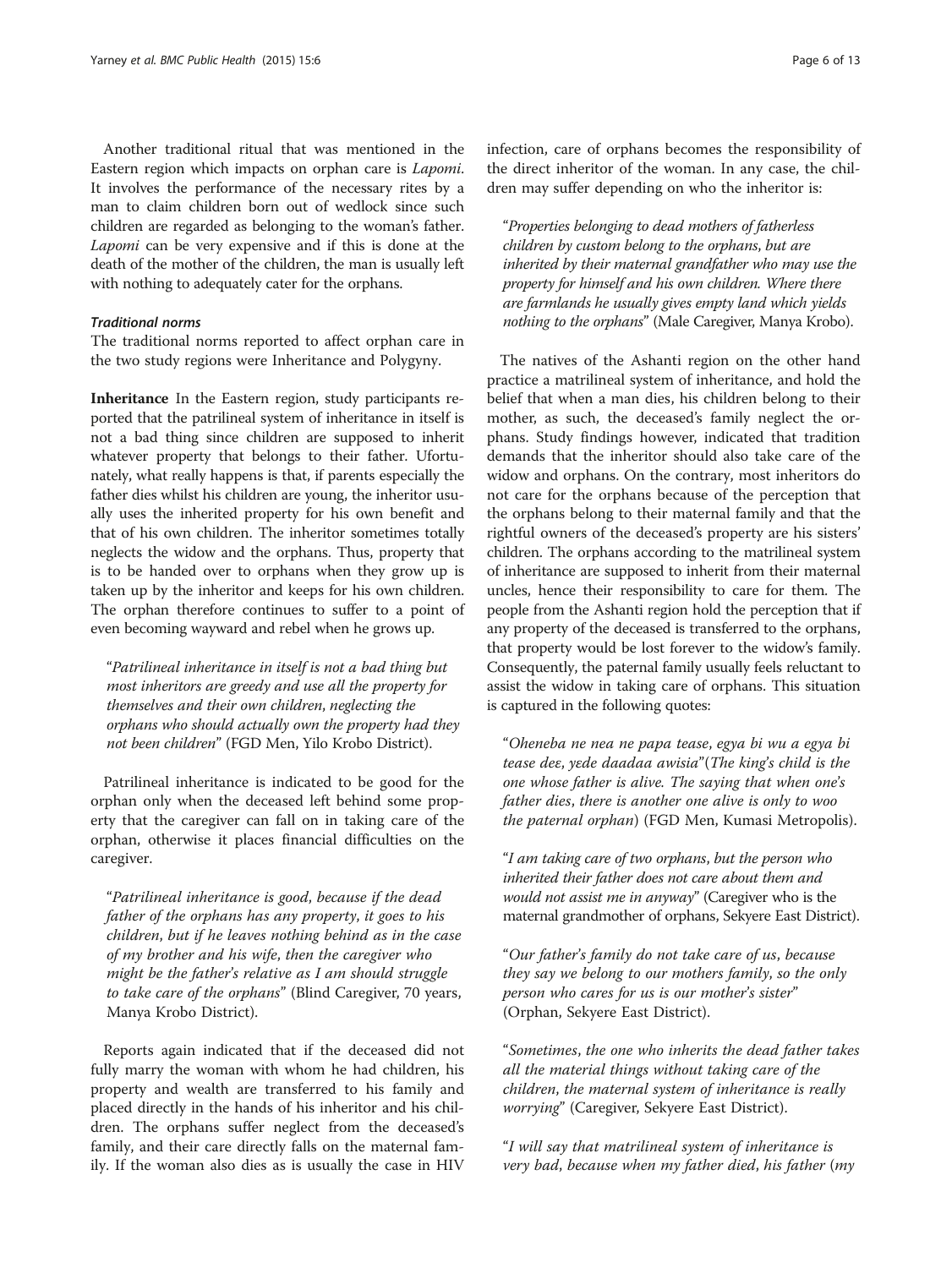Another traditional ritual that was mentioned in the Eastern region which impacts on orphan care is Lapomi. It involves the performance of the necessary rites by a man to claim children born out of wedlock since such children are regarded as belonging to the woman's father. Lapomi can be very expensive and if this is done at the death of the mother of the children, the man is usually left with nothing to adequately cater for the orphans.

# Traditional norms

The traditional norms reported to affect orphan care in the two study regions were Inheritance and Polygyny.

Inheritance In the Eastern region, study participants reported that the patrilineal system of inheritance in itself is not a bad thing since children are supposed to inherit whatever property that belongs to their father. Ufortunately, what really happens is that, if parents especially the father dies whilst his children are young, the inheritor usually uses the inherited property for his own benefit and that of his own children. The inheritor sometimes totally neglects the widow and the orphans. Thus, property that is to be handed over to orphans when they grow up is taken up by the inheritor and keeps for his own children. The orphan therefore continues to suffer to a point of even becoming wayward and rebel when he grows up.

"Patrilineal inheritance in itself is not a bad thing but most inheritors are greedy and use all the property for themselves and their own children, neglecting the orphans who should actually own the property had they not been children" (FGD Men, Yilo Krobo District).

Patrilineal inheritance is indicated to be good for the orphan only when the deceased left behind some property that the caregiver can fall on in taking care of the orphan, otherwise it places financial difficulties on the caregiver.

"Patrilineal inheritance is good, because if the dead father of the orphans has any property, it goes to his children, but if he leaves nothing behind as in the case of my brother and his wife, then the caregiver who might be the father's relative as I am should struggle to take care of the orphans" (Blind Caregiver, 70 years, Manya Krobo District).

Reports again indicated that if the deceased did not fully marry the woman with whom he had children, his property and wealth are transferred to his family and placed directly in the hands of his inheritor and his children. The orphans suffer neglect from the deceased's family, and their care directly falls on the maternal family. If the woman also dies as is usually the case in HIV infection, care of orphans becomes the responsibility of the direct inheritor of the woman. In any case, the children may suffer depending on who the inheritor is:

"Properties belonging to dead mothers of fatherless children by custom belong to the orphans, but are inherited by their maternal grandfather who may use the property for himself and his own children. Where there are farmlands he usually gives empty land which yields nothing to the orphans" (Male Caregiver, Manya Krobo).

The natives of the Ashanti region on the other hand practice a matrilineal system of inheritance, and hold the belief that when a man dies, his children belong to their mother, as such, the deceased's family neglect the orphans. Study findings however, indicated that tradition demands that the inheritor should also take care of the widow and orphans. On the contrary, most inheritors do not care for the orphans because of the perception that the orphans belong to their maternal family and that the rightful owners of the deceased's property are his sisters' children. The orphans according to the matrilineal system of inheritance are supposed to inherit from their maternal uncles, hence their responsibility to care for them. The people from the Ashanti region hold the perception that if any property of the deceased is transferred to the orphans, that property would be lost forever to the widow's family. Consequently, the paternal family usually feels reluctant to assist the widow in taking care of orphans. This situation is captured in the following quotes:

"Oheneba ne nea ne papa tease, egya bi wu a egya bi tease deε, yεde daadaa awisia"(The king's child is the one whose father is alive. The saying that when one's father dies, there is another one alive is only to woo the paternal orphan) (FGD Men, Kumasi Metropolis).

"I am taking care of two orphans, but the person who inherited their father does not care about them and would not assist me in anyway" (Caregiver who is the maternal grandmother of orphans, Sekyere East District).

"Our father's family do not take care of us, because they say we belong to our mothers family, so the only person who cares for us is our mother's sister" (Orphan, Sekyere East District).

"Sometimes, the one who inherits the dead father takes all the material things without taking care of the children, the maternal system of inheritance is really worrying" (Caregiver, Sekyere East District).

"I will say that matrilineal system of inheritance is very bad, because when my father died, his father (my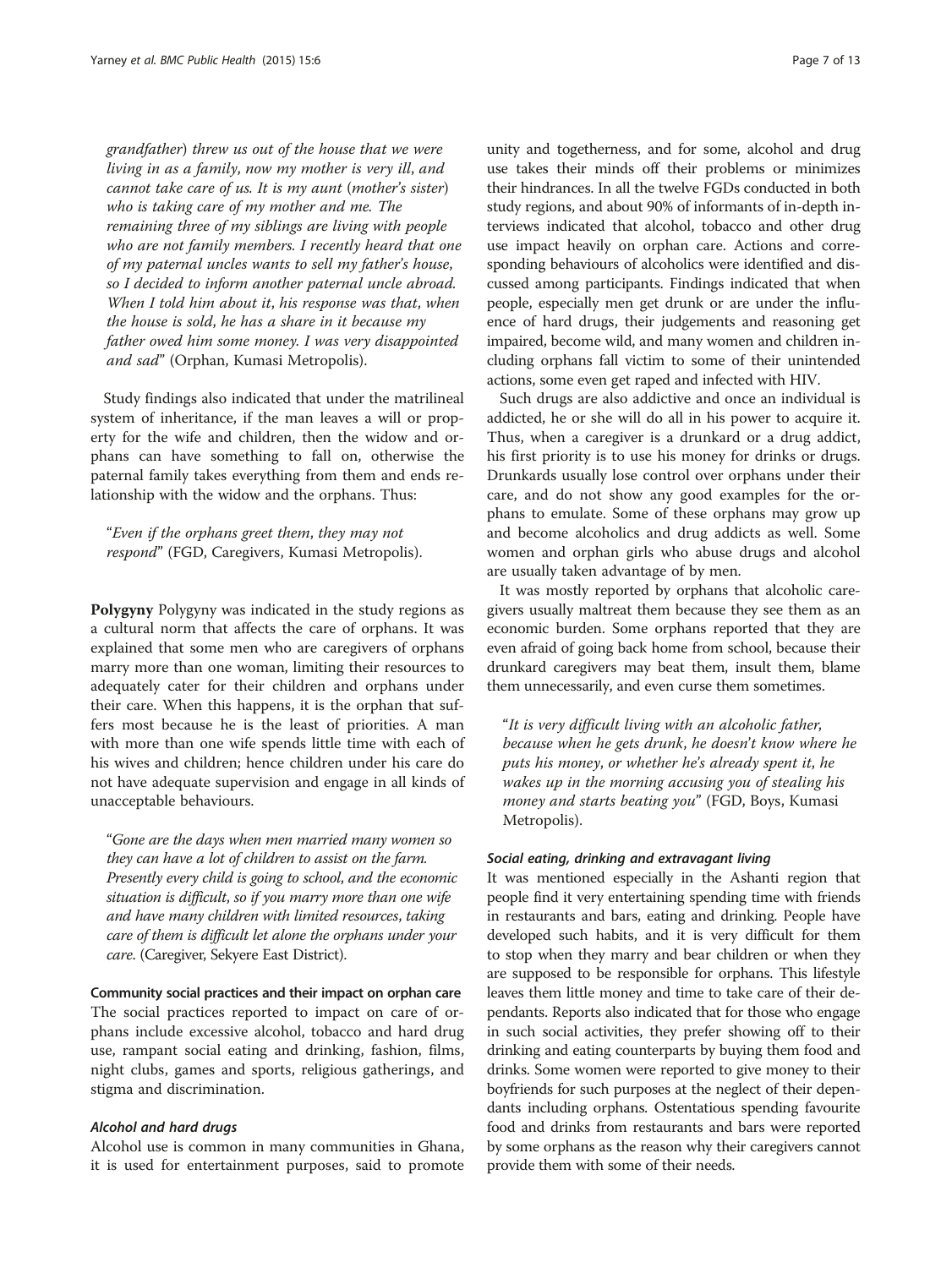grandfather) threw us out of the house that we were living in as a family, now my mother is very ill, and cannot take care of us. It is my aunt (mother's sister) who is taking care of my mother and me. The remaining three of my siblings are living with people who are not family members. I recently heard that one of my paternal uncles wants to sell my father's house, so I decided to inform another paternal uncle abroad. When I told him about it, his response was that, when the house is sold, he has a share in it because my father owed him some money. I was very disappointed and sad" (Orphan, Kumasi Metropolis).

Study findings also indicated that under the matrilineal system of inheritance, if the man leaves a will or property for the wife and children, then the widow and orphans can have something to fall on, otherwise the paternal family takes everything from them and ends relationship with the widow and the orphans. Thus:

"Even if the orphans greet them, they may not respond" (FGD, Caregivers, Kumasi Metropolis).

Polygyny Polygyny was indicated in the study regions as a cultural norm that affects the care of orphans. It was explained that some men who are caregivers of orphans marry more than one woman, limiting their resources to adequately cater for their children and orphans under their care. When this happens, it is the orphan that suffers most because he is the least of priorities. A man with more than one wife spends little time with each of his wives and children; hence children under his care do not have adequate supervision and engage in all kinds of unacceptable behaviours.

"Gone are the days when men married many women so they can have a lot of children to assist on the farm. Presently every child is going to school, and the economic situation is difficult, so if you marry more than one wife and have many children with limited resources, taking care of them is difficult let alone the orphans under your care. (Caregiver, Sekyere East District).

Community social practices and their impact on orphan care The social practices reported to impact on care of orphans include excessive alcohol, tobacco and hard drug use, rampant social eating and drinking, fashion, films, night clubs, games and sports, religious gatherings, and stigma and discrimination.

#### Alcohol and hard drugs

Alcohol use is common in many communities in Ghana, it is used for entertainment purposes, said to promote unity and togetherness, and for some, alcohol and drug use takes their minds off their problems or minimizes their hindrances. In all the twelve FGDs conducted in both study regions, and about 90% of informants of in-depth interviews indicated that alcohol, tobacco and other drug use impact heavily on orphan care. Actions and corresponding behaviours of alcoholics were identified and discussed among participants. Findings indicated that when people, especially men get drunk or are under the influence of hard drugs, their judgements and reasoning get impaired, become wild, and many women and children including orphans fall victim to some of their unintended actions, some even get raped and infected with HIV.

Such drugs are also addictive and once an individual is addicted, he or she will do all in his power to acquire it. Thus, when a caregiver is a drunkard or a drug addict, his first priority is to use his money for drinks or drugs. Drunkards usually lose control over orphans under their care, and do not show any good examples for the orphans to emulate. Some of these orphans may grow up and become alcoholics and drug addicts as well. Some women and orphan girls who abuse drugs and alcohol are usually taken advantage of by men.

It was mostly reported by orphans that alcoholic caregivers usually maltreat them because they see them as an economic burden. Some orphans reported that they are even afraid of going back home from school, because their drunkard caregivers may beat them, insult them, blame them unnecessarily, and even curse them sometimes.

"It is very difficult living with an alcoholic father, because when he gets drunk, he doesn't know where he puts his money, or whether he's already spent it, he wakes up in the morning accusing you of stealing his money and starts beating you" (FGD, Boys, Kumasi Metropolis).

#### Social eating, drinking and extravagant living

It was mentioned especially in the Ashanti region that people find it very entertaining spending time with friends in restaurants and bars, eating and drinking. People have developed such habits, and it is very difficult for them to stop when they marry and bear children or when they are supposed to be responsible for orphans. This lifestyle leaves them little money and time to take care of their dependants. Reports also indicated that for those who engage in such social activities, they prefer showing off to their drinking and eating counterparts by buying them food and drinks. Some women were reported to give money to their boyfriends for such purposes at the neglect of their dependants including orphans. Ostentatious spending favourite food and drinks from restaurants and bars were reported by some orphans as the reason why their caregivers cannot provide them with some of their needs.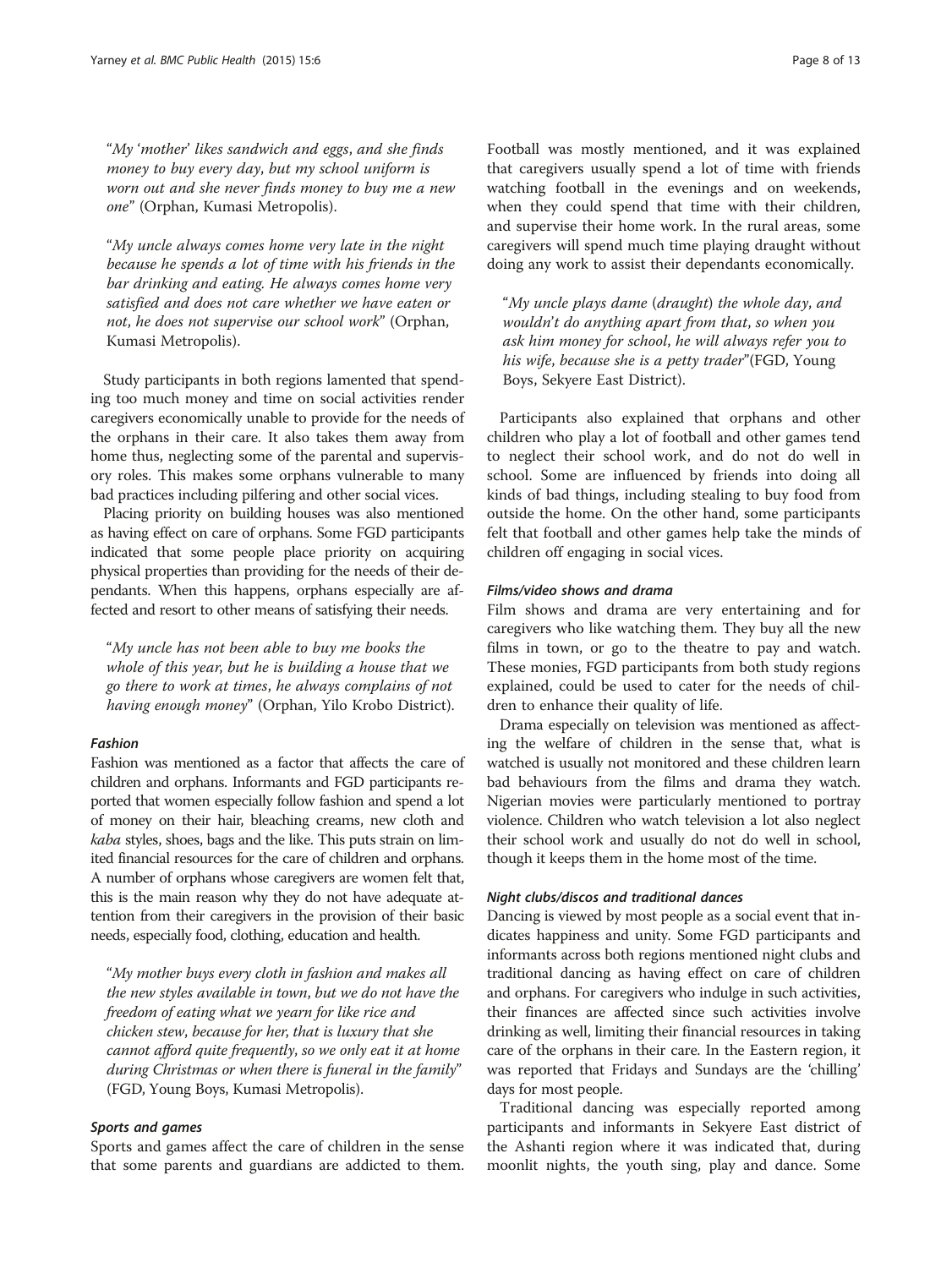"My 'mother' likes sandwich and eggs, and she finds money to buy every day, but my school uniform is worn out and she never finds money to buy me a new one" (Orphan, Kumasi Metropolis).

"My uncle always comes home very late in the night because he spends a lot of time with his friends in the bar drinking and eating. He always comes home very satisfied and does not care whether we have eaten or not, he does not supervise our school work" (Orphan, Kumasi Metropolis).

Study participants in both regions lamented that spending too much money and time on social activities render caregivers economically unable to provide for the needs of the orphans in their care. It also takes them away from home thus, neglecting some of the parental and supervisory roles. This makes some orphans vulnerable to many bad practices including pilfering and other social vices.

Placing priority on building houses was also mentioned as having effect on care of orphans. Some FGD participants indicated that some people place priority on acquiring physical properties than providing for the needs of their dependants. When this happens, orphans especially are affected and resort to other means of satisfying their needs.

"My uncle has not been able to buy me books the whole of this year, but he is building a house that we go there to work at times, he always complains of not having enough money" (Orphan, Yilo Krobo District).

#### Fashion

Fashion was mentioned as a factor that affects the care of children and orphans. Informants and FGD participants reported that women especially follow fashion and spend a lot of money on their hair, bleaching creams, new cloth and kaba styles, shoes, bags and the like. This puts strain on limited financial resources for the care of children and orphans. A number of orphans whose caregivers are women felt that, this is the main reason why they do not have adequate attention from their caregivers in the provision of their basic needs, especially food, clothing, education and health.

"My mother buys every cloth in fashion and makes all the new styles available in town, but we do not have the freedom of eating what we yearn for like rice and chicken stew, because for her, that is luxury that she cannot afford quite frequently, so we only eat it at home during Christmas or when there is funeral in the family" (FGD, Young Boys, Kumasi Metropolis).

#### Sports and games

Sports and games affect the care of children in the sense that some parents and guardians are addicted to them. Football was mostly mentioned, and it was explained that caregivers usually spend a lot of time with friends watching football in the evenings and on weekends, when they could spend that time with their children, and supervise their home work. In the rural areas, some caregivers will spend much time playing draught without doing any work to assist their dependants economically.

"My uncle plays dame (draught) the whole day, and wouldn't do anything apart from that, so when you ask him money for school, he will always refer you to his wife, because she is a petty trader"(FGD, Young Boys, Sekyere East District).

Participants also explained that orphans and other children who play a lot of football and other games tend to neglect their school work, and do not do well in school. Some are influenced by friends into doing all kinds of bad things, including stealing to buy food from outside the home. On the other hand, some participants felt that football and other games help take the minds of children off engaging in social vices.

#### Films/video shows and drama

Film shows and drama are very entertaining and for caregivers who like watching them. They buy all the new films in town, or go to the theatre to pay and watch. These monies, FGD participants from both study regions explained, could be used to cater for the needs of children to enhance their quality of life.

Drama especially on television was mentioned as affecting the welfare of children in the sense that, what is watched is usually not monitored and these children learn bad behaviours from the films and drama they watch. Nigerian movies were particularly mentioned to portray violence. Children who watch television a lot also neglect their school work and usually do not do well in school, though it keeps them in the home most of the time.

#### Night clubs/discos and traditional dances

Dancing is viewed by most people as a social event that indicates happiness and unity. Some FGD participants and informants across both regions mentioned night clubs and traditional dancing as having effect on care of children and orphans. For caregivers who indulge in such activities, their finances are affected since such activities involve drinking as well, limiting their financial resources in taking care of the orphans in their care. In the Eastern region, it was reported that Fridays and Sundays are the 'chilling' days for most people.

Traditional dancing was especially reported among participants and informants in Sekyere East district of the Ashanti region where it was indicated that, during moonlit nights, the youth sing, play and dance. Some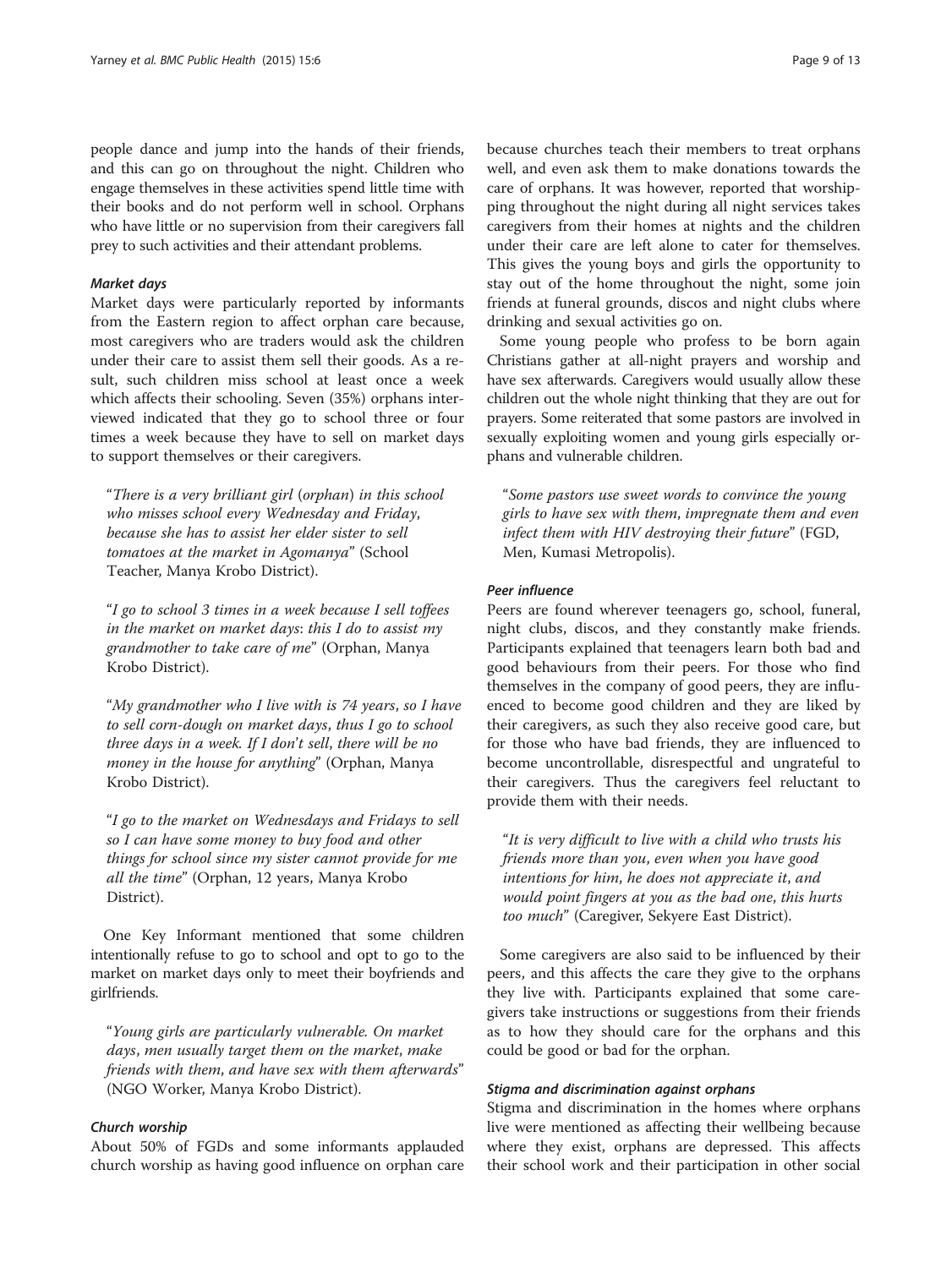people dance and jump into the hands of their friends, and this can go on throughout the night. Children who engage themselves in these activities spend little time with their books and do not perform well in school. Orphans who have little or no supervision from their caregivers fall prey to such activities and their attendant problems.

#### Market days

Market days were particularly reported by informants from the Eastern region to affect orphan care because, most caregivers who are traders would ask the children under their care to assist them sell their goods. As a result, such children miss school at least once a week which affects their schooling. Seven (35%) orphans interviewed indicated that they go to school three or four times a week because they have to sell on market days to support themselves or their caregivers.

"There is a very brilliant girl (orphan) in this school who misses school every Wednesday and Friday, because she has to assist her elder sister to sell tomatoes at the market in Agomanya" (School Teacher, Manya Krobo District).

"I go to school 3 times in a week because I sell toffees in the market on market days: this I do to assist my grandmother to take care of me" (Orphan, Manya Krobo District).

"My grandmother who I live with is 74 years, so I have to sell corn-dough on market days, thus I go to school three days in a week. If I don't sell, there will be no money in the house for anything" (Orphan, Manya Krobo District).

"I go to the market on Wednesdays and Fridays to sell so I can have some money to buy food and other things for school since my sister cannot provide for me all the time" (Orphan, 12 years, Manya Krobo District).

One Key Informant mentioned that some children intentionally refuse to go to school and opt to go to the market on market days only to meet their boyfriends and girlfriends.

"Young girls are particularly vulnerable. On market days, men usually target them on the market, make friends with them, and have sex with them afterwards" (NGO Worker, Manya Krobo District).

#### Church worship

About 50% of FGDs and some informants applauded church worship as having good influence on orphan care because churches teach their members to treat orphans well, and even ask them to make donations towards the care of orphans. It was however, reported that worshipping throughout the night during all night services takes caregivers from their homes at nights and the children under their care are left alone to cater for themselves. This gives the young boys and girls the opportunity to stay out of the home throughout the night, some join friends at funeral grounds, discos and night clubs where drinking and sexual activities go on.

Some young people who profess to be born again Christians gather at all-night prayers and worship and have sex afterwards. Caregivers would usually allow these children out the whole night thinking that they are out for prayers. Some reiterated that some pastors are involved in sexually exploiting women and young girls especially orphans and vulnerable children.

"Some pastors use sweet words to convince the young girls to have sex with them, impregnate them and even infect them with HIV destroying their future" (FGD, Men, Kumasi Metropolis).

#### Peer influence

Peers are found wherever teenagers go, school, funeral, night clubs, discos, and they constantly make friends. Participants explained that teenagers learn both bad and good behaviours from their peers. For those who find themselves in the company of good peers, they are influenced to become good children and they are liked by their caregivers, as such they also receive good care, but for those who have bad friends, they are influenced to become uncontrollable, disrespectful and ungrateful to their caregivers. Thus the caregivers feel reluctant to provide them with their needs.

"It is very difficult to live with a child who trusts his friends more than you, even when you have good intentions for him, he does not appreciate it, and would point fingers at you as the bad one, this hurts too much" (Caregiver, Sekyere East District).

Some caregivers are also said to be influenced by their peers, and this affects the care they give to the orphans they live with. Participants explained that some caregivers take instructions or suggestions from their friends as to how they should care for the orphans and this could be good or bad for the orphan.

#### Stigma and discrimination against orphans

Stigma and discrimination in the homes where orphans live were mentioned as affecting their wellbeing because where they exist, orphans are depressed. This affects their school work and their participation in other social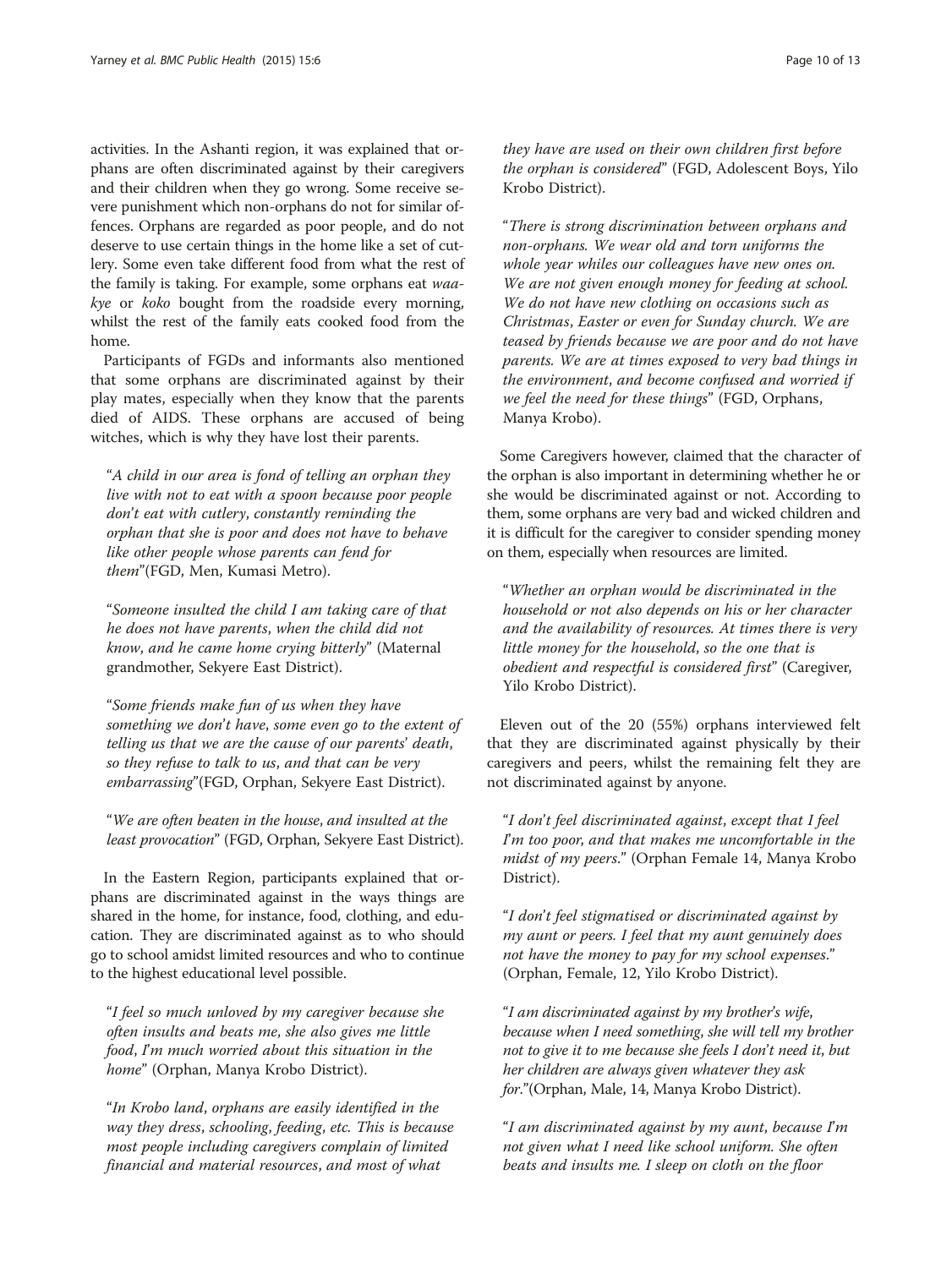activities. In the Ashanti region, it was explained that orphans are often discriminated against by their caregivers and their children when they go wrong. Some receive severe punishment which non-orphans do not for similar offences. Orphans are regarded as poor people, and do not deserve to use certain things in the home like a set of cutlery. Some even take different food from what the rest of the family is taking. For example, some orphans eat waakye or koko bought from the roadside every morning, whilst the rest of the family eats cooked food from the home.

Participants of FGDs and informants also mentioned that some orphans are discriminated against by their play mates, especially when they know that the parents died of AIDS. These orphans are accused of being witches, which is why they have lost their parents.

"A child in our area is fond of telling an orphan they live with not to eat with a spoon because poor people don't eat with cutlery, constantly reminding the orphan that she is poor and does not have to behave like other people whose parents can fend for them"(FGD, Men, Kumasi Metro).

"Someone insulted the child I am taking care of that he does not have parents, when the child did not know, and he came home crying bitterly" (Maternal grandmother, Sekyere East District).

"Some friends make fun of us when they have something we don't have, some even go to the extent of telling us that we are the cause of our parents' death, so they refuse to talk to us, and that can be very embarrassing"(FGD, Orphan, Sekyere East District).

"We are often beaten in the house, and insulted at the least provocation" (FGD, Orphan, Sekyere East District).

In the Eastern Region, participants explained that orphans are discriminated against in the ways things are shared in the home, for instance, food, clothing, and education. They are discriminated against as to who should go to school amidst limited resources and who to continue to the highest educational level possible.

"I feel so much unloved by my caregiver because she often insults and beats me, she also gives me little food, I'm much worried about this situation in the home" (Orphan, Manya Krobo District).

"In Krobo land, orphans are easily identified in the way they dress, schooling, feeding, etc. This is because most people including caregivers complain of limited financial and material resources, and most of what

they have are used on their own children first before the orphan is considered" (FGD, Adolescent Boys, Yilo Krobo District).

"There is strong discrimination between orphans and non-orphans. We wear old and torn uniforms the whole year whiles our colleagues have new ones on. We are not given enough money for feeding at school. We do not have new clothing on occasions such as Christmas, Easter or even for Sunday church. We are teased by friends because we are poor and do not have parents. We are at times exposed to very bad things in the environment, and become confused and worried if we feel the need for these things" (FGD, Orphans, Manya Krobo).

Some Caregivers however, claimed that the character of the orphan is also important in determining whether he or she would be discriminated against or not. According to them, some orphans are very bad and wicked children and it is difficult for the caregiver to consider spending money on them, especially when resources are limited.

"Whether an orphan would be discriminated in the household or not also depends on his or her character and the availability of resources. At times there is very little money for the household, so the one that is obedient and respectful is considered first" (Caregiver, Yilo Krobo District).

Eleven out of the 20 (55%) orphans interviewed felt that they are discriminated against physically by their caregivers and peers, whilst the remaining felt they are not discriminated against by anyone.

"I don't feel discriminated against, except that I feel I'm too poor, and that makes me uncomfortable in the midst of my peers." (Orphan Female 14, Manya Krobo District).

"I don't feel stigmatised or discriminated against by my aunt or peers. I feel that my aunt genuinely does not have the money to pay for my school expenses." (Orphan, Female, 12, Yilo Krobo District).

"I am discriminated against by my brother's wife, because when I need something, she will tell my brother not to give it to me because she feels I don't need it, but her children are always given whatever they ask for."(Orphan, Male, 14, Manya Krobo District).

"I am discriminated against by my aunt, because I'm not given what I need like school uniform. She often beats and insults me. I sleep on cloth on the floor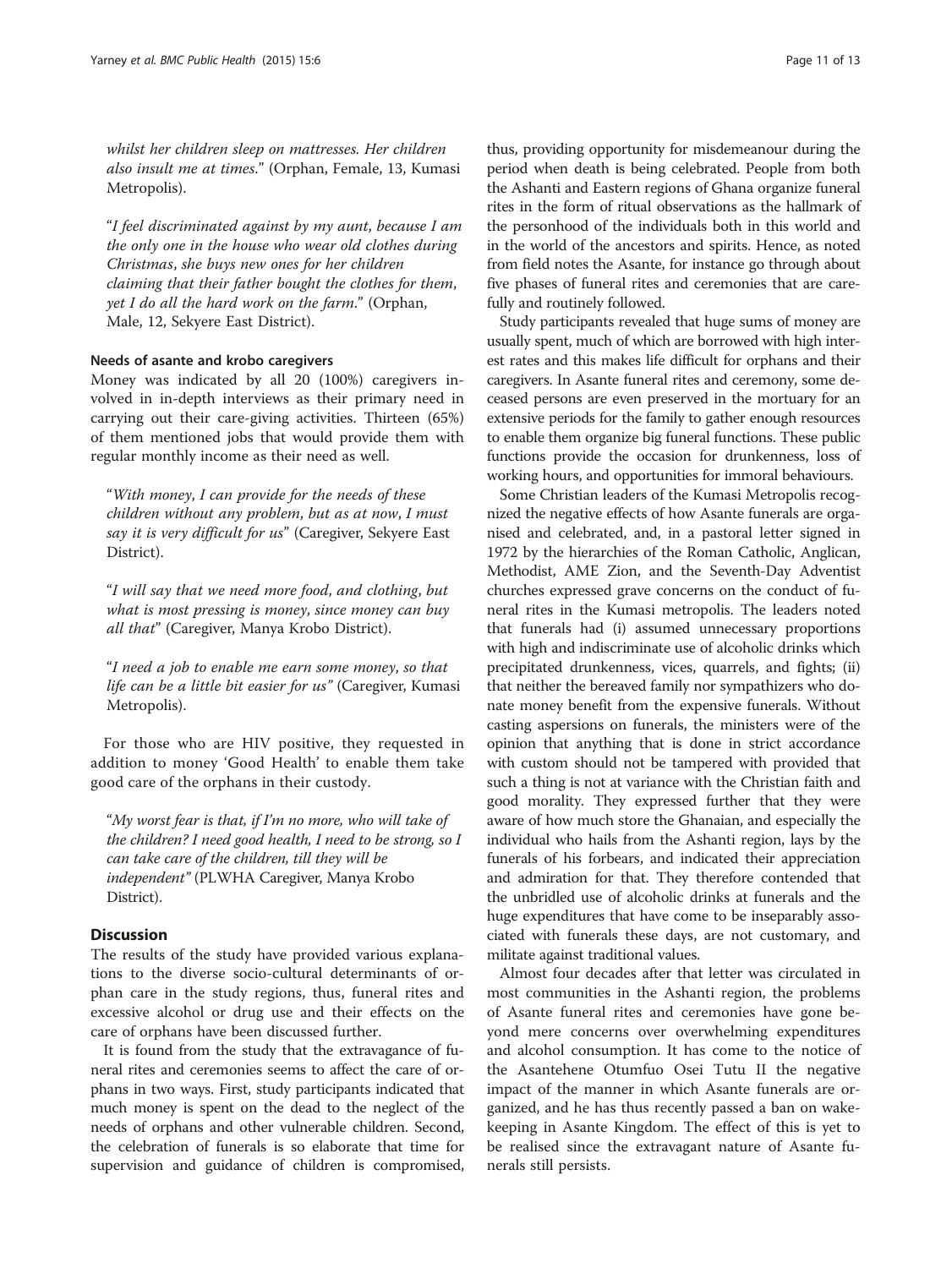whilst her children sleep on mattresses. Her children also insult me at times." (Orphan, Female, 13, Kumasi Metropolis).

"I feel discriminated against by my aunt, because I am the only one in the house who wear old clothes during Christmas, she buys new ones for her children claiming that their father bought the clothes for them, yet I do all the hard work on the farm." (Orphan, Male, 12, Sekyere East District).

#### Needs of asante and krobo caregivers

Money was indicated by all 20 (100%) caregivers involved in in-depth interviews as their primary need in carrying out their care-giving activities. Thirteen (65%) of them mentioned jobs that would provide them with regular monthly income as their need as well.

"With money, I can provide for the needs of these children without any problem, but as at now, I must say it is very difficult for us" (Caregiver, Sekyere East District).

"I will say that we need more food, and clothing, but what is most pressing is money, since money can buy all that" (Caregiver, Manya Krobo District).

"I need a job to enable me earn some money, so that life can be a little bit easier for us" (Caregiver, Kumasi Metropolis).

For those who are HIV positive, they requested in addition to money 'Good Health' to enable them take good care of the orphans in their custody.

"My worst fear is that, if I'm no more, who will take of the children? I need good health, I need to be strong, so I can take care of the children, till they will be independent" (PLWHA Caregiver, Manya Krobo District).

# **Discussion**

The results of the study have provided various explanations to the diverse socio-cultural determinants of orphan care in the study regions, thus, funeral rites and excessive alcohol or drug use and their effects on the care of orphans have been discussed further.

It is found from the study that the extravagance of funeral rites and ceremonies seems to affect the care of orphans in two ways. First, study participants indicated that much money is spent on the dead to the neglect of the needs of orphans and other vulnerable children. Second, the celebration of funerals is so elaborate that time for supervision and guidance of children is compromised, thus, providing opportunity for misdemeanour during the period when death is being celebrated. People from both the Ashanti and Eastern regions of Ghana organize funeral rites in the form of ritual observations as the hallmark of the personhood of the individuals both in this world and in the world of the ancestors and spirits. Hence, as noted from field notes the Asante, for instance go through about five phases of funeral rites and ceremonies that are carefully and routinely followed.

Study participants revealed that huge sums of money are usually spent, much of which are borrowed with high interest rates and this makes life difficult for orphans and their caregivers. In Asante funeral rites and ceremony, some deceased persons are even preserved in the mortuary for an extensive periods for the family to gather enough resources to enable them organize big funeral functions. These public functions provide the occasion for drunkenness, loss of working hours, and opportunities for immoral behaviours.

Some Christian leaders of the Kumasi Metropolis recognized the negative effects of how Asante funerals are organised and celebrated, and, in a pastoral letter signed in 1972 by the hierarchies of the Roman Catholic, Anglican, Methodist, AME Zion, and the Seventh-Day Adventist churches expressed grave concerns on the conduct of funeral rites in the Kumasi metropolis. The leaders noted that funerals had (i) assumed unnecessary proportions with high and indiscriminate use of alcoholic drinks which precipitated drunkenness, vices, quarrels, and fights; (ii) that neither the bereaved family nor sympathizers who donate money benefit from the expensive funerals. Without casting aspersions on funerals, the ministers were of the opinion that anything that is done in strict accordance with custom should not be tampered with provided that such a thing is not at variance with the Christian faith and good morality. They expressed further that they were aware of how much store the Ghanaian, and especially the individual who hails from the Ashanti region, lays by the funerals of his forbears, and indicated their appreciation and admiration for that. They therefore contended that the unbridled use of alcoholic drinks at funerals and the huge expenditures that have come to be inseparably associated with funerals these days, are not customary, and militate against traditional values.

Almost four decades after that letter was circulated in most communities in the Ashanti region, the problems of Asante funeral rites and ceremonies have gone beyond mere concerns over overwhelming expenditures and alcohol consumption. It has come to the notice of the Asantehene Otumfuo Osei Tutu II the negative impact of the manner in which Asante funerals are organized, and he has thus recently passed a ban on wakekeeping in Asante Kingdom. The effect of this is yet to be realised since the extravagant nature of Asante funerals still persists.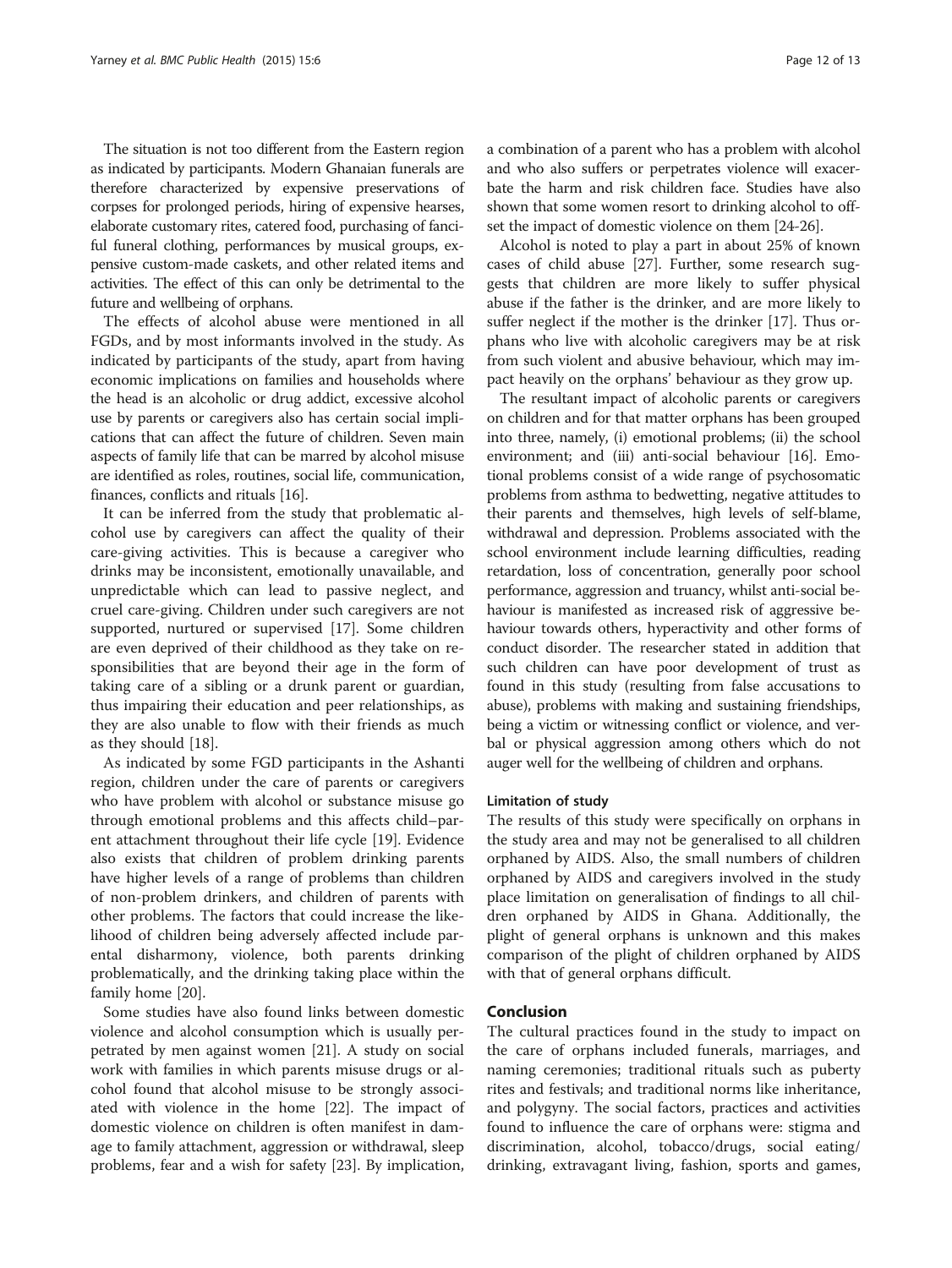The situation is not too different from the Eastern region as indicated by participants. Modern Ghanaian funerals are therefore characterized by expensive preservations of corpses for prolonged periods, hiring of expensive hearses, elaborate customary rites, catered food, purchasing of fanciful funeral clothing, performances by musical groups, expensive custom-made caskets, and other related items and activities. The effect of this can only be detrimental to the future and wellbeing of orphans.

The effects of alcohol abuse were mentioned in all FGDs, and by most informants involved in the study. As indicated by participants of the study, apart from having economic implications on families and households where the head is an alcoholic or drug addict, excessive alcohol use by parents or caregivers also has certain social implications that can affect the future of children. Seven main aspects of family life that can be marred by alcohol misuse are identified as roles, routines, social life, communication, finances, conflicts and rituals [\[16\]](#page-12-0).

It can be inferred from the study that problematic alcohol use by caregivers can affect the quality of their care-giving activities. This is because a caregiver who drinks may be inconsistent, emotionally unavailable, and unpredictable which can lead to passive neglect, and cruel care-giving. Children under such caregivers are not supported, nurtured or supervised [[17\]](#page-12-0). Some children are even deprived of their childhood as they take on responsibilities that are beyond their age in the form of taking care of a sibling or a drunk parent or guardian, thus impairing their education and peer relationships, as they are also unable to flow with their friends as much as they should [[18](#page-12-0)].

As indicated by some FGD participants in the Ashanti region, children under the care of parents or caregivers who have problem with alcohol or substance misuse go through emotional problems and this affects child–parent attachment throughout their life cycle [[19\]](#page-12-0). Evidence also exists that children of problem drinking parents have higher levels of a range of problems than children of non-problem drinkers, and children of parents with other problems. The factors that could increase the likelihood of children being adversely affected include parental disharmony, violence, both parents drinking problematically, and the drinking taking place within the family home [[20\]](#page-12-0).

Some studies have also found links between domestic violence and alcohol consumption which is usually perpetrated by men against women [\[21\]](#page-12-0). A study on social work with families in which parents misuse drugs or alcohol found that alcohol misuse to be strongly associated with violence in the home [\[22](#page-12-0)]. The impact of domestic violence on children is often manifest in damage to family attachment, aggression or withdrawal, sleep problems, fear and a wish for safety [[23](#page-12-0)]. By implication,

a combination of a parent who has a problem with alcohol and who also suffers or perpetrates violence will exacerbate the harm and risk children face. Studies have also shown that some women resort to drinking alcohol to offset the impact of domestic violence on them [\[24](#page-12-0)-[26](#page-12-0)].

Alcohol is noted to play a part in about 25% of known cases of child abuse [\[27\]](#page-12-0). Further, some research suggests that children are more likely to suffer physical abuse if the father is the drinker, and are more likely to suffer neglect if the mother is the drinker [[17\]](#page-12-0). Thus orphans who live with alcoholic caregivers may be at risk from such violent and abusive behaviour, which may impact heavily on the orphans' behaviour as they grow up.

The resultant impact of alcoholic parents or caregivers on children and for that matter orphans has been grouped into three, namely, (i) emotional problems; (ii) the school environment; and (iii) anti-social behaviour [\[16\]](#page-12-0). Emotional problems consist of a wide range of psychosomatic problems from asthma to bedwetting, negative attitudes to their parents and themselves, high levels of self-blame, withdrawal and depression. Problems associated with the school environment include learning difficulties, reading retardation, loss of concentration, generally poor school performance, aggression and truancy, whilst anti-social behaviour is manifested as increased risk of aggressive behaviour towards others, hyperactivity and other forms of conduct disorder. The researcher stated in addition that such children can have poor development of trust as found in this study (resulting from false accusations to abuse), problems with making and sustaining friendships, being a victim or witnessing conflict or violence, and verbal or physical aggression among others which do not auger well for the wellbeing of children and orphans.

#### Limitation of study

The results of this study were specifically on orphans in the study area and may not be generalised to all children orphaned by AIDS. Also, the small numbers of children orphaned by AIDS and caregivers involved in the study place limitation on generalisation of findings to all children orphaned by AIDS in Ghana. Additionally, the plight of general orphans is unknown and this makes comparison of the plight of children orphaned by AIDS with that of general orphans difficult.

#### Conclusion

The cultural practices found in the study to impact on the care of orphans included funerals, marriages, and naming ceremonies; traditional rituals such as puberty rites and festivals; and traditional norms like inheritance, and polygyny. The social factors, practices and activities found to influence the care of orphans were: stigma and discrimination, alcohol, tobacco/drugs, social eating/ drinking, extravagant living, fashion, sports and games,